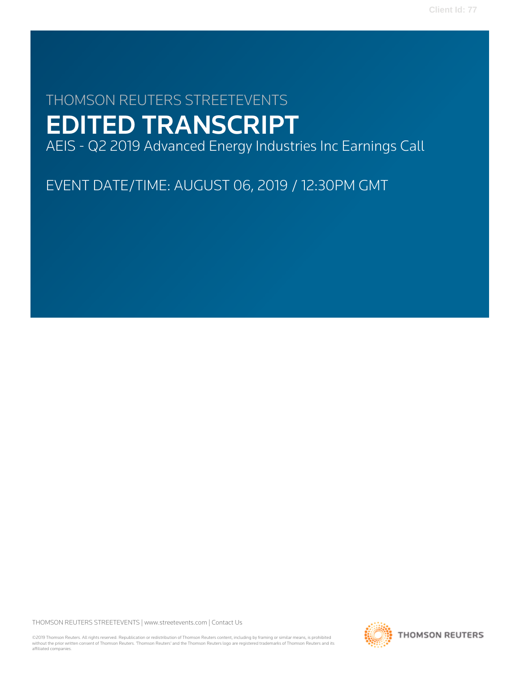# THOMSON REUTERS STREETEVENTS EDITED TRANSCRIPT

AEIS - Q2 2019 Advanced Energy Industries Inc Earnings Call

EVENT DATE/TIME: AUGUST 06, 2019 / 12:30PM GMT

THOMSON REUTERS STREETEVENTS | [www.streetevents.com](http://www.streetevents.com) | [Contact Us](http://www010.streetevents.com/contact.asp)

©2019 Thomson Reuters. All rights reserved. Republication or redistribution of Thomson Reuters content, including by framing or similar means, is prohibited without the prior written consent of Thomson Reuters. 'Thomson Reuters' and the Thomson Reuters logo are registered trademarks of Thomson Reuters and its affiliated companies.

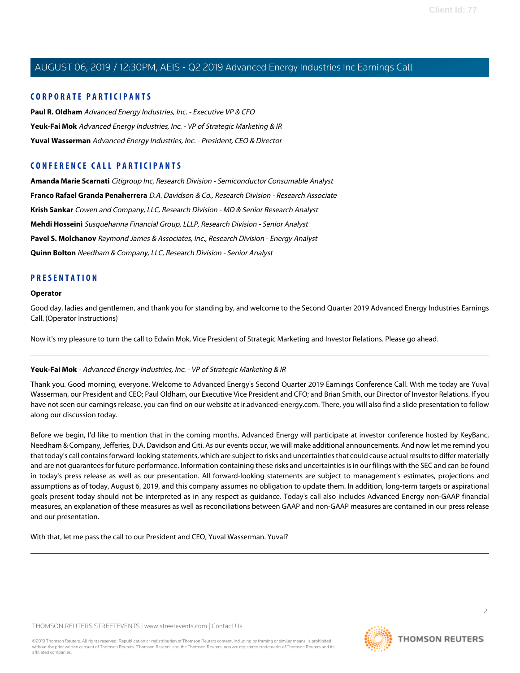#### **CORPORATE PARTICIPANTS**

**[Paul R. Oldham](#page-3-0)** Advanced Energy Industries, Inc. - Executive VP & CFO **[Yeuk-Fai Mok](#page-1-0)** Advanced Energy Industries, Inc. - VP of Strategic Marketing & IR **[Yuval Wasserman](#page-2-0)** Advanced Energy Industries, Inc. - President, CEO & Director

## **CONFERENCE CALL PARTICIPANTS**

**[Amanda Marie Scarnati](#page-5-0)** Citigroup Inc, Research Division - Semiconductor Consumable Analyst **[Franco Rafael Granda Penaherrera](#page-9-0)** D.A. Davidson & Co., Research Division - Research Associate **[Krish Sankar](#page-8-0)** Cowen and Company, LLC, Research Division - MD & Senior Research Analyst **[Mehdi Hosseini](#page-6-0)** Susquehanna Financial Group, LLLP, Research Division - Senior Analyst **[Pavel S. Molchanov](#page-10-0)** Raymond James & Associates, Inc., Research Division - Energy Analyst **[Quinn Bolton](#page-7-0)** Needham & Company, LLC, Research Division - Senior Analyst

#### **PRESENTATION**

#### **Operator**

Good day, ladies and gentlemen, and thank you for standing by, and welcome to the Second Quarter 2019 Advanced Energy Industries Earnings Call. (Operator Instructions)

<span id="page-1-0"></span>Now it's my pleasure to turn the call to Edwin Mok, Vice President of Strategic Marketing and Investor Relations. Please go ahead.

#### **Yeuk-Fai Mok** - Advanced Energy Industries, Inc. - VP of Strategic Marketing & IR

Thank you. Good morning, everyone. Welcome to Advanced Energy's Second Quarter 2019 Earnings Conference Call. With me today are Yuval Wasserman, our President and CEO; Paul Oldham, our Executive Vice President and CFO; and Brian Smith, our Director of Investor Relations. If you have not seen our earnings release, you can find on our website at ir.advanced-energy.com. There, you will also find a slide presentation to follow along our discussion today.

Before we begin, I'd like to mention that in the coming months, Advanced Energy will participate at investor conference hosted by KeyBanc, Needham & Company, Jefferies, D.A. Davidson and Citi. As our events occur, we will make additional announcements. And now let me remind you that today's call contains forward-looking statements, which are subject to risks and uncertainties that could cause actual results to differ materially and are not guarantees for future performance. Information containing these risks and uncertainties is in our filings with the SEC and can be found in today's press release as well as our presentation. All forward-looking statements are subject to management's estimates, projections and assumptions as of today, August 6, 2019, and this company assumes no obligation to update them. In addition, long-term targets or aspirational goals present today should not be interpreted as in any respect as guidance. Today's call also includes Advanced Energy non-GAAP financial measures, an explanation of these measures as well as reconciliations between GAAP and non-GAAP measures are contained in our press release and our presentation.

With that, let me pass the call to our President and CEO, Yuval Wasserman. Yuval?

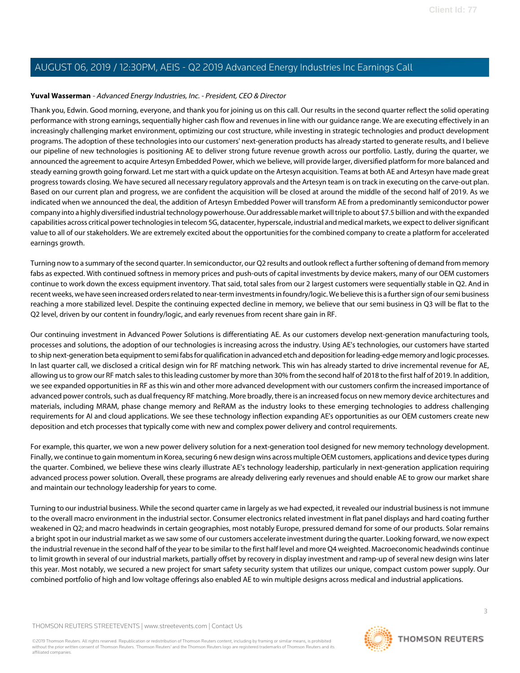#### <span id="page-2-0"></span>**Yuval Wasserman** - Advanced Energy Industries, Inc. - President, CEO & Director

Thank you, Edwin. Good morning, everyone, and thank you for joining us on this call. Our results in the second quarter reflect the solid operating performance with strong earnings, sequentially higher cash flow and revenues in line with our guidance range. We are executing effectively in an increasingly challenging market environment, optimizing our cost structure, while investing in strategic technologies and product development programs. The adoption of these technologies into our customers' next-generation products has already started to generate results, and I believe our pipeline of new technologies is positioning AE to deliver strong future revenue growth across our portfolio. Lastly, during the quarter, we announced the agreement to acquire Artesyn Embedded Power, which we believe, will provide larger, diversified platform for more balanced and steady earning growth going forward. Let me start with a quick update on the Artesyn acquisition. Teams at both AE and Artesyn have made great progress towards closing. We have secured all necessary regulatory approvals and the Artesyn team is on track in executing on the carve-out plan. Based on our current plan and progress, we are confident the acquisition will be closed at around the middle of the second half of 2019. As we indicated when we announced the deal, the addition of Artesyn Embedded Power will transform AE from a predominantly semiconductor power company into a highly diversified industrial technology powerhouse. Our addressable market will triple to about \$7.5 billion and with the expanded capabilities across critical power technologies in telecom 5G, datacenter, hyperscale, industrial and medical markets, we expect to deliver significant value to all of our stakeholders. We are extremely excited about the opportunities for the combined company to create a platform for accelerated earnings growth.

Turning now to a summary of the second quarter. In semiconductor, our Q2 results and outlook reflect a further softening of demand from memory fabs as expected. With continued softness in memory prices and push-outs of capital investments by device makers, many of our OEM customers continue to work down the excess equipment inventory. That said, total sales from our 2 largest customers were sequentially stable in Q2. And in recent weeks, we have seen increased orders related to near-term investments in foundry/logic. We believe this is a further sign of our semi business reaching a more stabilized level. Despite the continuing expected decline in memory, we believe that our semi business in Q3 will be flat to the Q2 level, driven by our content in foundry/logic, and early revenues from recent share gain in RF.

Our continuing investment in Advanced Power Solutions is differentiating AE. As our customers develop next-generation manufacturing tools, processes and solutions, the adoption of our technologies is increasing across the industry. Using AE's technologies, our customers have started to ship next-generation beta equipment to semi fabs for qualification in advanced etch and deposition for leading-edge memory and logic processes. In last quarter call, we disclosed a critical design win for RF matching network. This win has already started to drive incremental revenue for AE, allowing us to grow our RF match sales to this leading customer by more than 30% from the second half of 2018 to the first half of 2019. In addition, we see expanded opportunities in RF as this win and other more advanced development with our customers confirm the increased importance of advanced power controls, such as dual frequency RF matching. More broadly, there is an increased focus on new memory device architectures and materials, including MRAM, phase change memory and ReRAM as the industry looks to these emerging technologies to address challenging requirements for AI and cloud applications. We see these technology inflection expanding AE's opportunities as our OEM customers create new deposition and etch processes that typically come with new and complex power delivery and control requirements.

For example, this quarter, we won a new power delivery solution for a next-generation tool designed for new memory technology development. Finally, we continue to gain momentum in Korea, securing 6 new design wins across multiple OEM customers, applications and device types during the quarter. Combined, we believe these wins clearly illustrate AE's technology leadership, particularly in next-generation application requiring advanced process power solution. Overall, these programs are already delivering early revenues and should enable AE to grow our market share and maintain our technology leadership for years to come.

Turning to our industrial business. While the second quarter came in largely as we had expected, it revealed our industrial business is not immune to the overall macro environment in the industrial sector. Consumer electronics related investment in flat panel displays and hard coating further weakened in Q2; and macro headwinds in certain geographies, most notably Europe, pressured demand for some of our products. Solar remains a bright spot in our industrial market as we saw some of our customers accelerate investment during the quarter. Looking forward, we now expect the industrial revenue in the second half of the year to be similar to the first half level and more Q4 weighted. Macroeconomic headwinds continue to limit growth in several of our industrial markets, partially offset by recovery in display investment and ramp-up of several new design wins later this year. Most notably, we secured a new project for smart safety security system that utilizes our unique, compact custom power supply. Our combined portfolio of high and low voltage offerings also enabled AE to win multiple designs across medical and industrial applications.

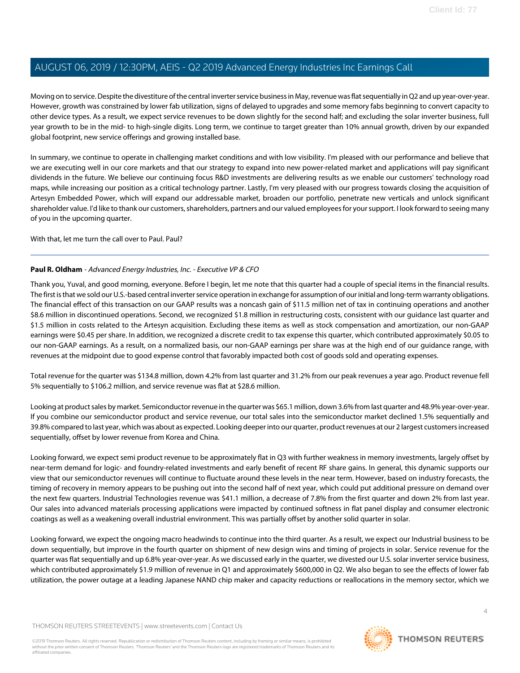Moving on to service. Despite the divestiture of the central inverter service business in May, revenue was flat sequentially in Q2 and up year-over-year. However, growth was constrained by lower fab utilization, signs of delayed to upgrades and some memory fabs beginning to convert capacity to other device types. As a result, we expect service revenues to be down slightly for the second half; and excluding the solar inverter business, full year growth to be in the mid- to high-single digits. Long term, we continue to target greater than 10% annual growth, driven by our expanded global footprint, new service offerings and growing installed base.

In summary, we continue to operate in challenging market conditions and with low visibility. I'm pleased with our performance and believe that we are executing well in our core markets and that our strategy to expand into new power-related market and applications will pay significant dividends in the future. We believe our continuing focus R&D investments are delivering results as we enable our customers' technology road maps, while increasing our position as a critical technology partner. Lastly, I'm very pleased with our progress towards closing the acquisition of Artesyn Embedded Power, which will expand our addressable market, broaden our portfolio, penetrate new verticals and unlock significant shareholder value. I'd like to thank our customers, shareholders, partners and our valued employees for your support. I look forward to seeing many of you in the upcoming quarter.

<span id="page-3-0"></span>With that, let me turn the call over to Paul. Paul?

#### **Paul R. Oldham** - Advanced Energy Industries, Inc. - Executive VP & CFO

Thank you, Yuval, and good morning, everyone. Before I begin, let me note that this quarter had a couple of special items in the financial results. The first is that we sold our U.S.-based central inverter service operation in exchange for assumption of our initial and long-term warranty obligations. The financial effect of this transaction on our GAAP results was a noncash gain of \$11.5 million net of tax in continuing operations and another \$8.6 million in discontinued operations. Second, we recognized \$1.8 million in restructuring costs, consistent with our guidance last quarter and \$1.5 million in costs related to the Artesyn acquisition. Excluding these items as well as stock compensation and amortization, our non-GAAP earnings were \$0.45 per share. In addition, we recognized a discrete credit to tax expense this quarter, which contributed approximately \$0.05 to our non-GAAP earnings. As a result, on a normalized basis, our non-GAAP earnings per share was at the high end of our guidance range, with revenues at the midpoint due to good expense control that favorably impacted both cost of goods sold and operating expenses.

Total revenue for the quarter was \$134.8 million, down 4.2% from last quarter and 31.2% from our peak revenues a year ago. Product revenue fell 5% sequentially to \$106.2 million, and service revenue was flat at \$28.6 million.

Looking at product sales by market. Semiconductor revenue in the quarter was \$65.1 million, down 3.6% from last quarter and 48.9% year-over-year. If you combine our semiconductor product and service revenue, our total sales into the semiconductor market declined 1.5% sequentially and 39.8% compared to last year, which was about as expected. Looking deeper into our quarter, product revenues at our 2 largest customers increased sequentially, offset by lower revenue from Korea and China.

Looking forward, we expect semi product revenue to be approximately flat in Q3 with further weakness in memory investments, largely offset by near-term demand for logic- and foundry-related investments and early benefit of recent RF share gains. In general, this dynamic supports our view that our semiconductor revenues will continue to fluctuate around these levels in the near term. However, based on industry forecasts, the timing of recovery in memory appears to be pushing out into the second half of next year, which could put additional pressure on demand over the next few quarters. Industrial Technologies revenue was \$41.1 million, a decrease of 7.8% from the first quarter and down 2% from last year. Our sales into advanced materials processing applications were impacted by continued softness in flat panel display and consumer electronic coatings as well as a weakening overall industrial environment. This was partially offset by another solid quarter in solar.

Looking forward, we expect the ongoing macro headwinds to continue into the third quarter. As a result, we expect our Industrial business to be down sequentially, but improve in the fourth quarter on shipment of new design wins and timing of projects in solar. Service revenue for the quarter was flat sequentially and up 6.8% year-over-year. As we discussed early in the quarter, we divested our U.S. solar inverter service business, which contributed approximately \$1.9 million of revenue in Q1 and approximately \$600,000 in Q2. We also began to see the effects of lower fab utilization, the power outage at a leading Japanese NAND chip maker and capacity reductions or reallocations in the memory sector, which we

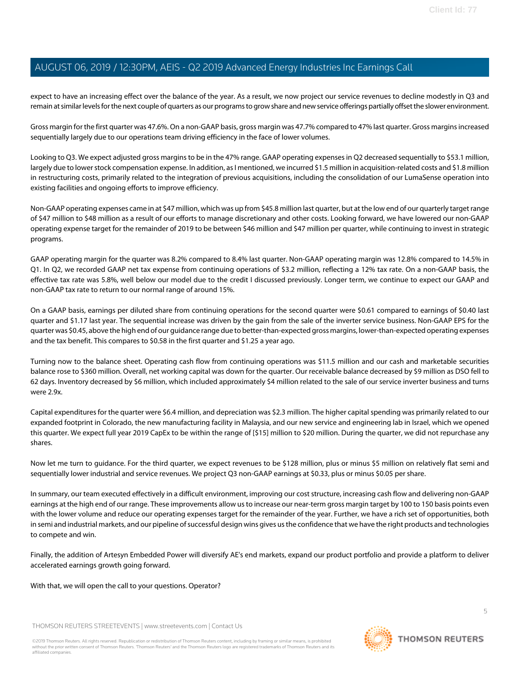expect to have an increasing effect over the balance of the year. As a result, we now project our service revenues to decline modestly in Q3 and remain at similar levels for the next couple of quarters as our programs to grow share and new service offerings partially offset the slower environment.

Gross margin for the first quarter was 47.6%. On a non-GAAP basis, gross margin was 47.7% compared to 47% last quarter. Gross margins increased sequentially largely due to our operations team driving efficiency in the face of lower volumes.

Looking to Q3. We expect adjusted gross margins to be in the 47% range. GAAP operating expenses in Q2 decreased sequentially to \$53.1 million, largely due to lower stock compensation expense. In addition, as I mentioned, we incurred \$1.5 million in acquisition-related costs and \$1.8 million in restructuring costs, primarily related to the integration of previous acquisitions, including the consolidation of our LumaSense operation into existing facilities and ongoing efforts to improve efficiency.

Non-GAAP operating expenses came in at \$47 million, which was up from \$45.8 million last quarter, but at the low end of our quarterly target range of \$47 million to \$48 million as a result of our efforts to manage discretionary and other costs. Looking forward, we have lowered our non-GAAP operating expense target for the remainder of 2019 to be between \$46 million and \$47 million per quarter, while continuing to invest in strategic programs.

GAAP operating margin for the quarter was 8.2% compared to 8.4% last quarter. Non-GAAP operating margin was 12.8% compared to 14.5% in Q1. In Q2, we recorded GAAP net tax expense from continuing operations of \$3.2 million, reflecting a 12% tax rate. On a non-GAAP basis, the effective tax rate was 5.8%, well below our model due to the credit I discussed previously. Longer term, we continue to expect our GAAP and non-GAAP tax rate to return to our normal range of around 15%.

On a GAAP basis, earnings per diluted share from continuing operations for the second quarter were \$0.61 compared to earnings of \$0.40 last quarter and \$1.17 last year. The sequential increase was driven by the gain from the sale of the inverter service business. Non-GAAP EPS for the quarter was \$0.45, above the high end of our guidance range due to better-than-expected gross margins, lower-than-expected operating expenses and the tax benefit. This compares to \$0.58 in the first quarter and \$1.25 a year ago.

Turning now to the balance sheet. Operating cash flow from continuing operations was \$11.5 million and our cash and marketable securities balance rose to \$360 million. Overall, net working capital was down for the quarter. Our receivable balance decreased by \$9 million as DSO fell to 62 days. Inventory decreased by \$6 million, which included approximately \$4 million related to the sale of our service inverter business and turns were 2.9x.

Capital expenditures for the quarter were \$6.4 million, and depreciation was \$2.3 million. The higher capital spending was primarily related to our expanded footprint in Colorado, the new manufacturing facility in Malaysia, and our new service and engineering lab in Israel, which we opened this quarter. We expect full year 2019 CapEx to be within the range of [\$15] million to \$20 million. During the quarter, we did not repurchase any shares.

Now let me turn to guidance. For the third quarter, we expect revenues to be \$128 million, plus or minus \$5 million on relatively flat semi and sequentially lower industrial and service revenues. We project Q3 non-GAAP earnings at \$0.33, plus or minus \$0.05 per share.

In summary, our team executed effectively in a difficult environment, improving our cost structure, increasing cash flow and delivering non-GAAP earnings at the high end of our range. These improvements allow us to increase our near-term gross margin target by 100 to 150 basis points even with the lower volume and reduce our operating expenses target for the remainder of the year. Further, we have a rich set of opportunities, both in semi and industrial markets, and our pipeline of successful design wins gives us the confidence that we have the right products and technologies to compete and win.

Finally, the addition of Artesyn Embedded Power will diversify AE's end markets, expand our product portfolio and provide a platform to deliver accelerated earnings growth going forward.

With that, we will open the call to your questions. Operator?

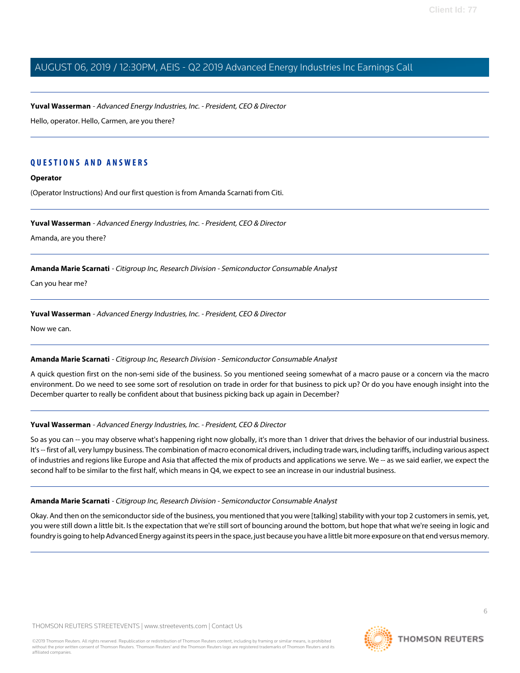**Yuval Wasserman** - Advanced Energy Industries, Inc. - President, CEO & Director

Hello, operator. Hello, Carmen, are you there?

#### **QUESTIONS AND ANSWERS**

#### **Operator**

(Operator Instructions) And our first question is from Amanda Scarnati from Citi.

#### **Yuval Wasserman** - Advanced Energy Industries, Inc. - President, CEO & Director

<span id="page-5-0"></span>Amanda, are you there?

**Amanda Marie Scarnati** - Citigroup Inc, Research Division - Semiconductor Consumable Analyst

Can you hear me?

#### **Yuval Wasserman** - Advanced Energy Industries, Inc. - President, CEO & Director

Now we can.

#### **Amanda Marie Scarnati** - Citigroup Inc, Research Division - Semiconductor Consumable Analyst

A quick question first on the non-semi side of the business. So you mentioned seeing somewhat of a macro pause or a concern via the macro environment. Do we need to see some sort of resolution on trade in order for that business to pick up? Or do you have enough insight into the December quarter to really be confident about that business picking back up again in December?

#### **Yuval Wasserman** - Advanced Energy Industries, Inc. - President, CEO & Director

So as you can -- you may observe what's happening right now globally, it's more than 1 driver that drives the behavior of our industrial business. It's -- first of all, very lumpy business. The combination of macro economical drivers, including trade wars, including tariffs, including various aspect of industries and regions like Europe and Asia that affected the mix of products and applications we serve. We -- as we said earlier, we expect the second half to be similar to the first half, which means in Q4, we expect to see an increase in our industrial business.

#### **Amanda Marie Scarnati** - Citigroup Inc, Research Division - Semiconductor Consumable Analyst

Okay. And then on the semiconductor side of the business, you mentioned that you were [talking] stability with your top 2 customers in semis, yet, you were still down a little bit. Is the expectation that we're still sort of bouncing around the bottom, but hope that what we're seeing in logic and foundry is going to help Advanced Energy against its peers in the space, just because you have a little bit more exposure on that end versus memory.

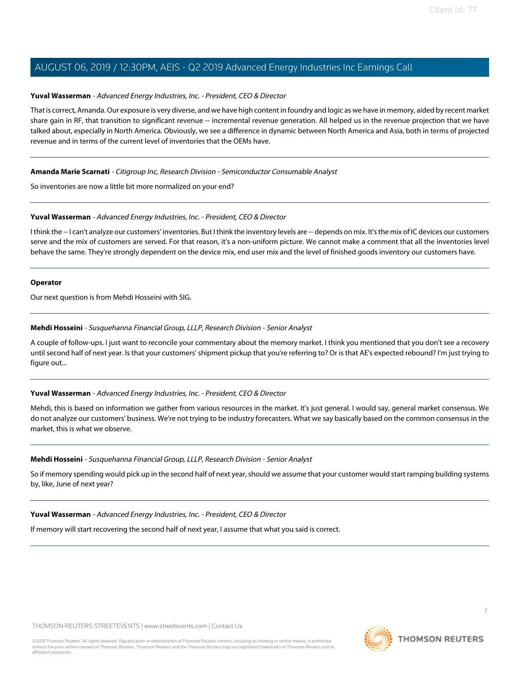#### **Yuval Wasserman** - Advanced Energy Industries, Inc. - President, CEO & Director

That is correct, Amanda. Our exposure is very diverse, and we have high content in foundry and logic as we have in memory, aided by recent market share gain in RF, that transition to significant revenue -- incremental revenue generation. All helped us in the revenue projection that we have talked about, especially in North America. Obviously, we see a difference in dynamic between North America and Asia, both in terms of projected revenue and in terms of the current level of inventories that the OEMs have.

#### **Amanda Marie Scarnati** - Citigroup Inc, Research Division - Semiconductor Consumable Analyst

So inventories are now a little bit more normalized on your end?

#### **Yuval Wasserman** - Advanced Energy Industries, Inc. - President, CEO & Director

I think the -- I can't analyze our customers' inventories. But I think the inventory levels are -- depends on mix. It's the mix of IC devices our customers serve and the mix of customers are served. For that reason, it's a non-uniform picture. We cannot make a comment that all the inventories level behave the same. They're strongly dependent on the device mix, end user mix and the level of finished goods inventory our customers have.

#### **Operator**

<span id="page-6-0"></span>Our next question is from Mehdi Hosseini with SIG.

#### **Mehdi Hosseini** - Susquehanna Financial Group, LLLP, Research Division - Senior Analyst

A couple of follow-ups. I just want to reconcile your commentary about the memory market. I think you mentioned that you don't see a recovery until second half of next year. Is that your customers' shipment pickup that you're referring to? Or is that AE's expected rebound? I'm just trying to figure out...

#### **Yuval Wasserman** - Advanced Energy Industries, Inc. - President, CEO & Director

Mehdi, this is based on information we gather from various resources in the market. It's just general. I would say, general market consensus. We do not analyze our customers' business. We're not trying to be industry forecasters. What we say basically based on the common consensus in the market, this is what we observe.

#### **Mehdi Hosseini** - Susquehanna Financial Group, LLLP, Research Division - Senior Analyst

So if memory spending would pick up in the second half of next year, should we assume that your customer would start ramping building systems by, like, June of next year?

### **Yuval Wasserman** - Advanced Energy Industries, Inc. - President, CEO & Director

If memory will start recovering the second half of next year, I assume that what you said is correct.

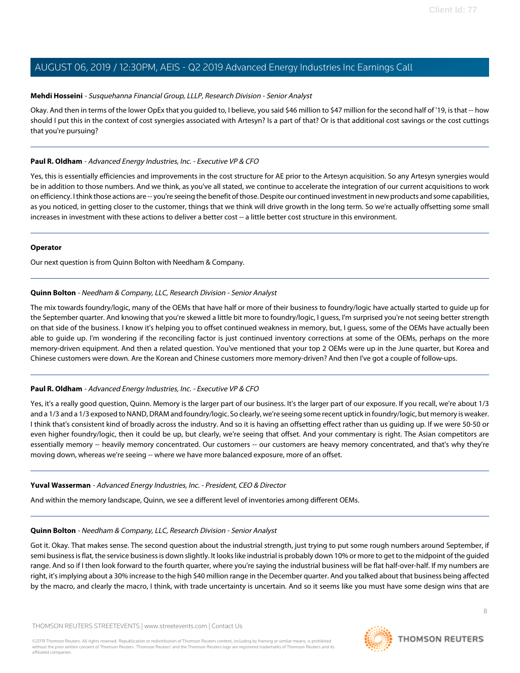#### **Mehdi Hosseini** - Susquehanna Financial Group, LLLP, Research Division - Senior Analyst

Okay. And then in terms of the lower OpEx that you guided to, I believe, you said \$46 million to \$47 million for the second half of '19, is that -- how should I put this in the context of cost synergies associated with Artesyn? Is a part of that? Or is that additional cost savings or the cost cuttings that you're pursuing?

#### **Paul R. Oldham** - Advanced Energy Industries, Inc. - Executive VP & CFO

Yes, this is essentially efficiencies and improvements in the cost structure for AE prior to the Artesyn acquisition. So any Artesyn synergies would be in addition to those numbers. And we think, as you've all stated, we continue to accelerate the integration of our current acquisitions to work on efficiency. I think those actions are -- you're seeing the benefit of those. Despite our continued investment in new products and some capabilities, as you noticed, in getting closer to the customer, things that we think will drive growth in the long term. So we're actually offsetting some small increases in investment with these actions to deliver a better cost -- a little better cost structure in this environment.

#### **Operator**

<span id="page-7-0"></span>Our next question is from Quinn Bolton with Needham & Company.

#### **Quinn Bolton** - Needham & Company, LLC, Research Division - Senior Analyst

The mix towards foundry/logic, many of the OEMs that have half or more of their business to foundry/logic have actually started to guide up for the September quarter. And knowing that you're skewed a little bit more to foundry/logic, I guess, I'm surprised you're not seeing better strength on that side of the business. I know it's helping you to offset continued weakness in memory, but, I guess, some of the OEMs have actually been able to guide up. I'm wondering if the reconciling factor is just continued inventory corrections at some of the OEMs, perhaps on the more memory-driven equipment. And then a related question. You've mentioned that your top 2 OEMs were up in the June quarter, but Korea and Chinese customers were down. Are the Korean and Chinese customers more memory-driven? And then I've got a couple of follow-ups.

#### **Paul R. Oldham** - Advanced Energy Industries, Inc. - Executive VP & CFO

Yes, it's a really good question, Quinn. Memory is the larger part of our business. It's the larger part of our exposure. If you recall, we're about 1/3 and a 1/3 and a 1/3 exposed to NAND, DRAM and foundry/logic. So clearly, we're seeing some recent uptick in foundry/logic, but memory is weaker. I think that's consistent kind of broadly across the industry. And so it is having an offsetting effect rather than us guiding up. If we were 50-50 or even higher foundry/logic, then it could be up, but clearly, we're seeing that offset. And your commentary is right. The Asian competitors are essentially memory -- heavily memory concentrated. Our customers -- our customers are heavy memory concentrated, and that's why they're moving down, whereas we're seeing -- where we have more balanced exposure, more of an offset.

#### **Yuval Wasserman** - Advanced Energy Industries, Inc. - President, CEO & Director

And within the memory landscape, Quinn, we see a different level of inventories among different OEMs.

#### **Quinn Bolton** - Needham & Company, LLC, Research Division - Senior Analyst

Got it. Okay. That makes sense. The second question about the industrial strength, just trying to put some rough numbers around September, if semi business is flat, the service business is down slightly. It looks like industrial is probably down 10% or more to get to the midpoint of the guided range. And so if I then look forward to the fourth quarter, where you're saying the industrial business will be flat half-over-half. If my numbers are right, it's implying about a 30% increase to the high \$40 million range in the December quarter. And you talked about that business being affected by the macro, and clearly the macro, I think, with trade uncertainty is uncertain. And so it seems like you must have some design wins that are

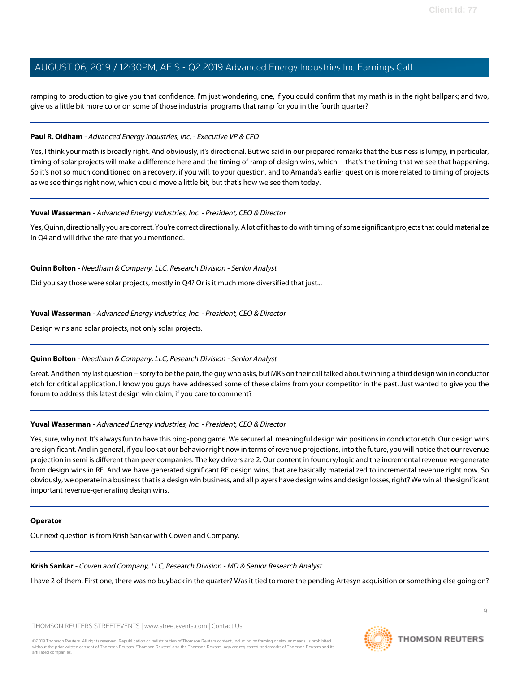ramping to production to give you that confidence. I'm just wondering, one, if you could confirm that my math is in the right ballpark; and two, give us a little bit more color on some of those industrial programs that ramp for you in the fourth quarter?

#### **Paul R. Oldham** - Advanced Energy Industries, Inc. - Executive VP & CFO

Yes, I think your math is broadly right. And obviously, it's directional. But we said in our prepared remarks that the business is lumpy, in particular, timing of solar projects will make a difference here and the timing of ramp of design wins, which -- that's the timing that we see that happening. So it's not so much conditioned on a recovery, if you will, to your question, and to Amanda's earlier question is more related to timing of projects as we see things right now, which could move a little bit, but that's how we see them today.

#### **Yuval Wasserman** - Advanced Energy Industries, Inc. - President, CEO & Director

Yes, Quinn, directionally you are correct. You're correct directionally. A lot of it has to do with timing of some significant projects that could materialize in Q4 and will drive the rate that you mentioned.

#### **Quinn Bolton** - Needham & Company, LLC, Research Division - Senior Analyst

Did you say those were solar projects, mostly in Q4? Or is it much more diversified that just...

#### **Yuval Wasserman** - Advanced Energy Industries, Inc. - President, CEO & Director

Design wins and solar projects, not only solar projects.

#### **Quinn Bolton** - Needham & Company, LLC, Research Division - Senior Analyst

Great. And then my last question -- sorry to be the pain, the guy who asks, but MKS on their call talked about winning a third design win in conductor etch for critical application. I know you guys have addressed some of these claims from your competitor in the past. Just wanted to give you the forum to address this latest design win claim, if you care to comment?

#### **Yuval Wasserman** - Advanced Energy Industries, Inc. - President, CEO & Director

Yes, sure, why not. It's always fun to have this ping-pong game. We secured all meaningful design win positions in conductor etch. Our design wins are significant. And in general, if you look at our behavior right now in terms of revenue projections, into the future, you will notice that our revenue projection in semi is different than peer companies. The key drivers are 2. Our content in foundry/logic and the incremental revenue we generate from design wins in RF. And we have generated significant RF design wins, that are basically materialized to incremental revenue right now. So obviously, we operate in a business that is a design win business, and all players have design wins and design losses, right? We win all the significant important revenue-generating design wins.

#### <span id="page-8-0"></span>**Operator**

Our next question is from Krish Sankar with Cowen and Company.

**Krish Sankar** - Cowen and Company, LLC, Research Division - MD & Senior Research Analyst

I have 2 of them. First one, there was no buyback in the quarter? Was it tied to more the pending Artesyn acquisition or something else going on?

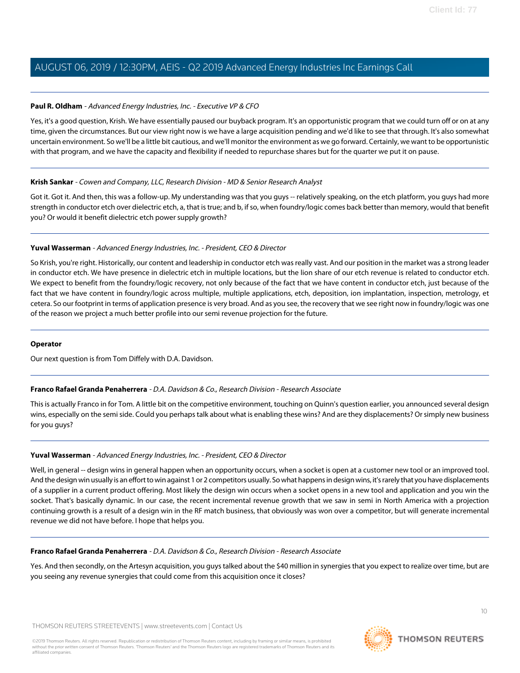#### **Paul R. Oldham** - Advanced Energy Industries, Inc. - Executive VP & CFO

Yes, it's a good question, Krish. We have essentially paused our buyback program. It's an opportunistic program that we could turn off or on at any time, given the circumstances. But our view right now is we have a large acquisition pending and we'd like to see that through. It's also somewhat uncertain environment. So we'll be a little bit cautious, and we'll monitor the environment as we go forward. Certainly, we want to be opportunistic with that program, and we have the capacity and flexibility if needed to repurchase shares but for the quarter we put it on pause.

#### **Krish Sankar** - Cowen and Company, LLC, Research Division - MD & Senior Research Analyst

Got it. Got it. And then, this was a follow-up. My understanding was that you guys -- relatively speaking, on the etch platform, you guys had more strength in conductor etch over dielectric etch, a, that is true; and b, if so, when foundry/logic comes back better than memory, would that benefit you? Or would it benefit dielectric etch power supply growth?

### **Yuval Wasserman** - Advanced Energy Industries, Inc. - President, CEO & Director

So Krish, you're right. Historically, our content and leadership in conductor etch was really vast. And our position in the market was a strong leader in conductor etch. We have presence in dielectric etch in multiple locations, but the lion share of our etch revenue is related to conductor etch. We expect to benefit from the foundry/logic recovery, not only because of the fact that we have content in conductor etch, just because of the fact that we have content in foundry/logic across multiple, multiple applications, etch, deposition, ion implantation, inspection, metrology, et cetera. So our footprint in terms of application presence is very broad. And as you see, the recovery that we see right now in foundry/logic was one of the reason we project a much better profile into our semi revenue projection for the future.

#### <span id="page-9-0"></span>**Operator**

Our next question is from Tom Diffely with D.A. Davidson.

### **Franco Rafael Granda Penaherrera** - D.A. Davidson & Co., Research Division - Research Associate

This is actually Franco in for Tom. A little bit on the competitive environment, touching on Quinn's question earlier, you announced several design wins, especially on the semi side. Could you perhaps talk about what is enabling these wins? And are they displacements? Or simply new business for you guys?

#### **Yuval Wasserman** - Advanced Energy Industries, Inc. - President, CEO & Director

Well, in general -- design wins in general happen when an opportunity occurs, when a socket is open at a customer new tool or an improved tool. And the design win usually is an effort to win against 1 or 2 competitors usually. So what happens in design wins, it's rarely that you have displacements of a supplier in a current product offering. Most likely the design win occurs when a socket opens in a new tool and application and you win the socket. That's basically dynamic. In our case, the recent incremental revenue growth that we saw in semi in North America with a projection continuing growth is a result of a design win in the RF match business, that obviously was won over a competitor, but will generate incremental revenue we did not have before. I hope that helps you.

#### **Franco Rafael Granda Penaherrera** - D.A. Davidson & Co., Research Division - Research Associate

Yes. And then secondly, on the Artesyn acquisition, you guys talked about the \$40 million in synergies that you expect to realize over time, but are you seeing any revenue synergies that could come from this acquisition once it closes?

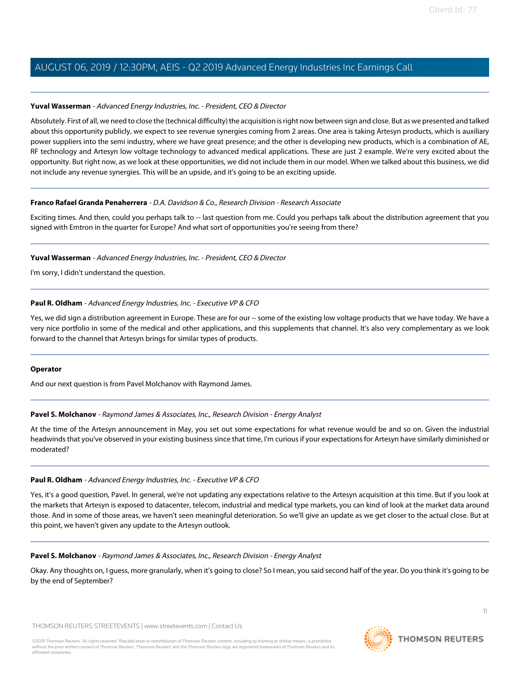#### **Yuval Wasserman** - Advanced Energy Industries, Inc. - President, CEO & Director

Absolutely. First of all, we need to close the (technical difficulty) the acquisition is right now between sign and close. But as we presented and talked about this opportunity publicly, we expect to see revenue synergies coming from 2 areas. One area is taking Artesyn products, which is auxiliary power suppliers into the semi industry, where we have great presence; and the other is developing new products, which is a combination of AE, RF technology and Artesyn low voltage technology to advanced medical applications. These are just 2 example. We're very excited about the opportunity. But right now, as we look at these opportunities, we did not include them in our model. When we talked about this business, we did not include any revenue synergies. This will be an upside, and it's going to be an exciting upside.

#### **Franco Rafael Granda Penaherrera** - D.A. Davidson & Co., Research Division - Research Associate

Exciting times. And then, could you perhaps talk to -- last question from me. Could you perhaps talk about the distribution agreement that you signed with Emtron in the quarter for Europe? And what sort of opportunities you're seeing from there?

#### **Yuval Wasserman** - Advanced Energy Industries, Inc. - President, CEO & Director

I'm sorry, I didn't understand the question.

#### **Paul R. Oldham** - Advanced Energy Industries, Inc. - Executive VP & CFO

Yes, we did sign a distribution agreement in Europe. These are for our -- some of the existing low voltage products that we have today. We have a very nice portfolio in some of the medical and other applications, and this supplements that channel. It's also very complementary as we look forward to the channel that Artesyn brings for similar types of products.

#### <span id="page-10-0"></span>**Operator**

And our next question is from Pavel Molchanov with Raymond James.

### **Pavel S. Molchanov** - Raymond James & Associates, Inc., Research Division - Energy Analyst

At the time of the Artesyn announcement in May, you set out some expectations for what revenue would be and so on. Given the industrial headwinds that you've observed in your existing business since that time, I'm curious if your expectations for Artesyn have similarly diminished or moderated?

#### **Paul R. Oldham** - Advanced Energy Industries, Inc. - Executive VP & CFO

Yes, it's a good question, Pavel. In general, we're not updating any expectations relative to the Artesyn acquisition at this time. But if you look at the markets that Artesyn is exposed to datacenter, telecom, industrial and medical type markets, you can kind of look at the market data around those. And in some of those areas, we haven't seen meaningful deterioration. So we'll give an update as we get closer to the actual close. But at this point, we haven't given any update to the Artesyn outlook.

#### **Pavel S. Molchanov** - Raymond James & Associates, Inc., Research Division - Energy Analyst

Okay. Any thoughts on, I guess, more granularly, when it's going to close? So I mean, you said second half of the year. Do you think it's going to be by the end of September?